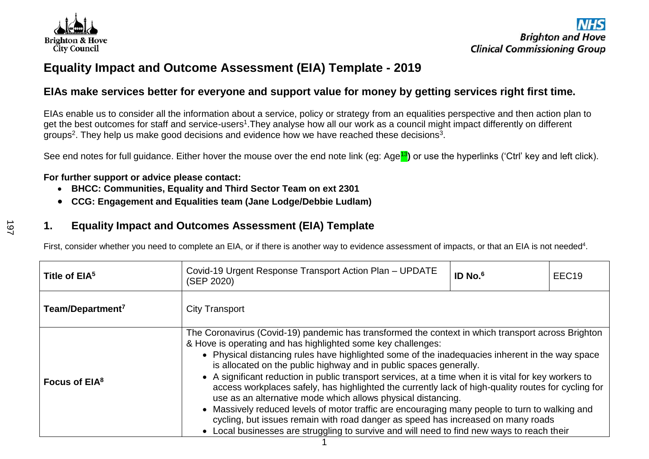

# **Equality Impact and Outcome Assessment (EIA) Template - 2019**

## **EIAs make services better for everyone and support value for money by getting services right first time.**

EIAs enable us to consider all the information about a service, policy or strategy from an equalities perspective and then action plan to get the best outcomes for staff and service-users<sup>1</sup>. They analyse how all our work as a council might impact differently on different groups<sup>2</sup>. They help us make good decisions and evidence how we have reached these decisions<sup>3</sup>.

See end notes for full guidance. Either hover the mouse over the end note link (eg: Age<mark>13</mark>) or use the hyperlinks ('Ctrl' key and left click).

#### **For further support or advice please contact:**

- **BHCC: Communities, Equality and Third Sector Team on ext 2301**
- **CCG: Engagement and Equalities team (Jane Lodge/Debbie Ludlam)**

## **1. Equality Impact and Outcomes Assessment (EIA) Template**

First, consider whether you need to complete an EIA, or if there is another way to evidence assessment of impacts, or that an EIA is not needed<sup>4</sup>.

| Title of EIA <sup>5</sup>    | Covid-19 Urgent Response Transport Action Plan - UPDATE<br>(SEP 2020)                                                                                                                                                                                                                                                                                                                                                                                                                                                                                                                                                                                                                                                                                                                                                                                                                                           |  | EEC <sub>19</sub> |  |  |
|------------------------------|-----------------------------------------------------------------------------------------------------------------------------------------------------------------------------------------------------------------------------------------------------------------------------------------------------------------------------------------------------------------------------------------------------------------------------------------------------------------------------------------------------------------------------------------------------------------------------------------------------------------------------------------------------------------------------------------------------------------------------------------------------------------------------------------------------------------------------------------------------------------------------------------------------------------|--|-------------------|--|--|
| Team/Department <sup>7</sup> | <b>City Transport</b>                                                                                                                                                                                                                                                                                                                                                                                                                                                                                                                                                                                                                                                                                                                                                                                                                                                                                           |  |                   |  |  |
| Focus of EIA <sup>8</sup>    | The Coronavirus (Covid-19) pandemic has transformed the context in which transport across Brighton<br>& Hove is operating and has highlighted some key challenges:<br>• Physical distancing rules have highlighted some of the inadequacies inherent in the way space<br>is allocated on the public highway and in public spaces generally.<br>• A significant reduction in public transport services, at a time when it is vital for key workers to<br>access workplaces safely, has highlighted the currently lack of high-quality routes for cycling for<br>use as an alternative mode which allows physical distancing.<br>• Massively reduced levels of motor traffic are encouraging many people to turn to walking and<br>cycling, but issues remain with road danger as speed has increased on many roads<br>• Local businesses are struggling to survive and will need to find new ways to reach their |  |                   |  |  |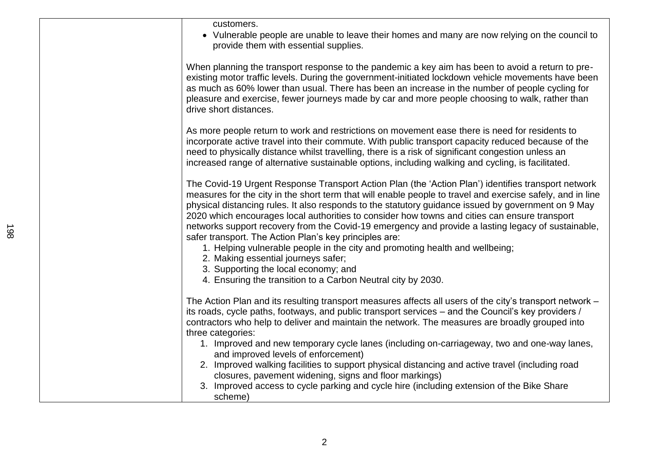| customers. |  |
|------------|--|
|------------|--|

| • Vulnerable people are unable to leave their homes and many are now relying on the council to |
|------------------------------------------------------------------------------------------------|
| provide them with essential supplies.                                                          |

When planning the transport response to the pandemic a key aim has been to avoid a return to preexisting motor traffic levels. During the government-initiated lockdown vehicle movements have been as much as 60% lower than usual. There has been an increase in the number of people cycling for pleasure and exercise, fewer journeys made by car and more people choosing to walk, rather than drive short distances.

As more people return to work and restrictions on movement ease there is need for residents to incorporate active travel into their commute. With public transport capacity reduced because of the need to physically distance whilst travelling, there is a risk of significant congestion unless an increased range of alternative sustainable options, including walking and cycling, is facilitated.

The Covid-19 Urgent Response Transport Action Plan (the 'Action Plan') identifies transport network measures for the city in the short term that will enable people to travel and exercise safely, and in line physical distancing rules. It also responds to the statutory guidance issued by government on 9 May 2020 which encourages local authorities to consider how towns and cities can ensure transport networks support recovery from the Covid-19 emergency and provide a lasting legacy of sustainable, safer transport. The Action Plan's key principles are:

1. Helping vulnerable people in the city and promoting health and wellbeing;

2. Making essential journeys safer;

3. Supporting the local economy; and

4. Ensuring the transition to a Carbon Neutral city by 2030.

The Action Plan and its resulting transport measures affects all users of the city's transport network – its roads, cycle paths, footways, and public transport services – and the Council's key providers / contractors who help to deliver and maintain the network. The measures are broadly grouped into three categories:

- 1. Improved and new temporary cycle lanes (including on-carriageway, two and one-way lanes, and improved levels of enforcement)
- 2. Improved walking facilities to support physical distancing and active travel (including road closures, pavement widening, signs and floor markings)
- 3. Improved access to cycle parking and cycle hire (including extension of the Bike Share scheme)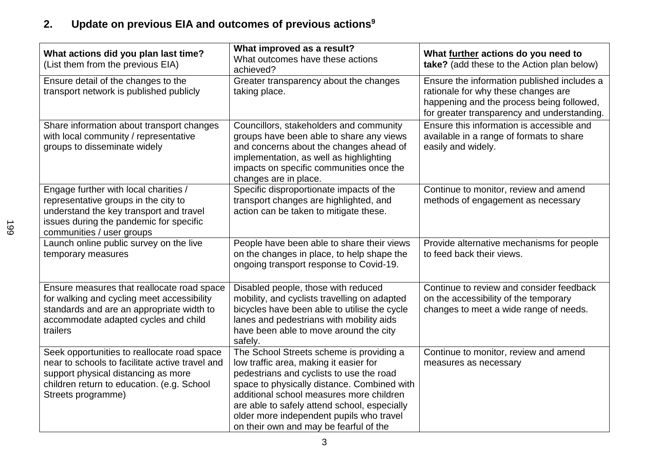# **2. Update on previous EIA and outcomes of previous actions<sup>9</sup>**

| What actions did you plan last time?<br>(List them from the previous EIA)                                                                                                                                 | What improved as a result?<br>What outcomes have these actions<br>achieved?                                                                                                                                                                                                                                                                                     | What further actions do you need to<br>take? (add these to the Action plan below)                                                                                              |
|-----------------------------------------------------------------------------------------------------------------------------------------------------------------------------------------------------------|-----------------------------------------------------------------------------------------------------------------------------------------------------------------------------------------------------------------------------------------------------------------------------------------------------------------------------------------------------------------|--------------------------------------------------------------------------------------------------------------------------------------------------------------------------------|
| Ensure detail of the changes to the<br>transport network is published publicly                                                                                                                            | Greater transparency about the changes<br>taking place.                                                                                                                                                                                                                                                                                                         | Ensure the information published includes a<br>rationale for why these changes are<br>happening and the process being followed,<br>for greater transparency and understanding. |
| Share information about transport changes<br>with local community / representative<br>groups to disseminate widely                                                                                        | Councillors, stakeholders and community<br>groups have been able to share any views<br>and concerns about the changes ahead of<br>implementation, as well as highlighting<br>impacts on specific communities once the<br>changes are in place.                                                                                                                  | Ensure this information is accessible and<br>available in a range of formats to share<br>easily and widely.                                                                    |
| Engage further with local charities /<br>representative groups in the city to<br>understand the key transport and travel<br>issues during the pandemic for specific<br>communities / user groups          | Specific disproportionate impacts of the<br>transport changes are highlighted, and<br>action can be taken to mitigate these.                                                                                                                                                                                                                                    | Continue to monitor, review and amend<br>methods of engagement as necessary                                                                                                    |
| Launch online public survey on the live<br>temporary measures                                                                                                                                             | People have been able to share their views<br>on the changes in place, to help shape the<br>ongoing transport response to Covid-19.                                                                                                                                                                                                                             | Provide alternative mechanisms for people<br>to feed back their views.                                                                                                         |
| Ensure measures that reallocate road space<br>for walking and cycling meet accessibility<br>standards and are an appropriate width to<br>accommodate adapted cycles and child<br>trailers                 | Disabled people, those with reduced<br>mobility, and cyclists travelling on adapted<br>bicycles have been able to utilise the cycle<br>lanes and pedestrians with mobility aids<br>have been able to move around the city<br>safely.                                                                                                                            | Continue to review and consider feedback<br>on the accessibility of the temporary<br>changes to meet a wide range of needs.                                                    |
| Seek opportunities to reallocate road space<br>near to schools to facilitate active travel and<br>support physical distancing as more<br>children return to education. (e.g. School<br>Streets programme) | The School Streets scheme is providing a<br>low traffic area, making it easier for<br>pedestrians and cyclists to use the road<br>space to physically distance. Combined with<br>additional school measures more children<br>are able to safely attend school, especially<br>older more independent pupils who travel<br>on their own and may be fearful of the | Continue to monitor, review and amend<br>measures as necessary                                                                                                                 |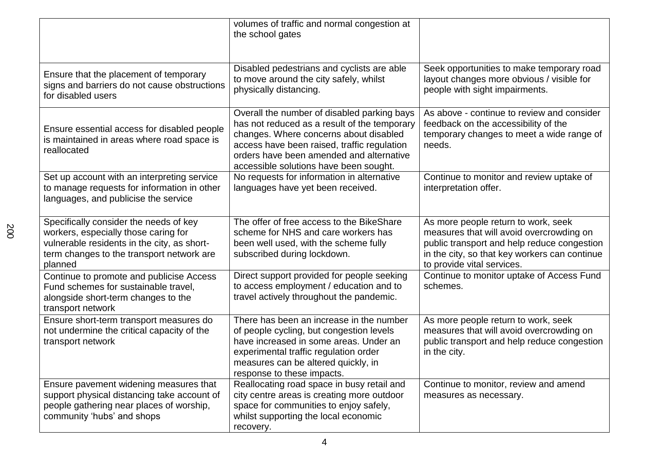|                                                                                                                                                                                       | volumes of traffic and normal congestion at<br>the school gates                                                                                                                                                                                                            |                                                                                                                                                                                                               |
|---------------------------------------------------------------------------------------------------------------------------------------------------------------------------------------|----------------------------------------------------------------------------------------------------------------------------------------------------------------------------------------------------------------------------------------------------------------------------|---------------------------------------------------------------------------------------------------------------------------------------------------------------------------------------------------------------|
| Ensure that the placement of temporary<br>signs and barriers do not cause obstructions<br>for disabled users                                                                          | Disabled pedestrians and cyclists are able<br>to move around the city safely, whilst<br>physically distancing.                                                                                                                                                             | Seek opportunities to make temporary road<br>layout changes more obvious / visible for<br>people with sight impairments.                                                                                      |
| Ensure essential access for disabled people<br>is maintained in areas where road space is<br>reallocated                                                                              | Overall the number of disabled parking bays<br>has not reduced as a result of the temporary<br>changes. Where concerns about disabled<br>access have been raised, traffic regulation<br>orders have been amended and alternative<br>accessible solutions have been sought. | As above - continue to review and consider<br>feedback on the accessibility of the<br>temporary changes to meet a wide range of<br>needs.                                                                     |
| Set up account with an interpreting service<br>to manage requests for information in other<br>languages, and publicise the service                                                    | No requests for information in alternative<br>languages have yet been received.                                                                                                                                                                                            | Continue to monitor and review uptake of<br>interpretation offer.                                                                                                                                             |
| Specifically consider the needs of key<br>workers, especially those caring for<br>vulnerable residents in the city, as short-<br>term changes to the transport network are<br>planned | The offer of free access to the BikeShare<br>scheme for NHS and care workers has<br>been well used, with the scheme fully<br>subscribed during lockdown.                                                                                                                   | As more people return to work, seek<br>measures that will avoid overcrowding on<br>public transport and help reduce congestion<br>in the city, so that key workers can continue<br>to provide vital services. |
| Continue to promote and publicise Access<br>Fund schemes for sustainable travel,<br>alongside short-term changes to the<br>transport network                                          | Direct support provided for people seeking<br>to access employment / education and to<br>travel actively throughout the pandemic.                                                                                                                                          | Continue to monitor uptake of Access Fund<br>schemes.                                                                                                                                                         |
| Ensure short-term transport measures do<br>not undermine the critical capacity of the<br>transport network                                                                            | There has been an increase in the number<br>of people cycling, but congestion levels<br>have increased in some areas. Under an<br>experimental traffic regulation order<br>measures can be altered quickly, in<br>response to these impacts.                               | As more people return to work, seek<br>measures that will avoid overcrowding on<br>public transport and help reduce congestion<br>in the city.                                                                |
| Ensure pavement widening measures that<br>support physical distancing take account of<br>people gathering near places of worship,<br>community 'hubs' and shops                       | Reallocating road space in busy retail and<br>city centre areas is creating more outdoor<br>space for communities to enjoy safely,<br>whilst supporting the local economic<br>recovery.                                                                                    | Continue to monitor, review and amend<br>measures as necessary.                                                                                                                                               |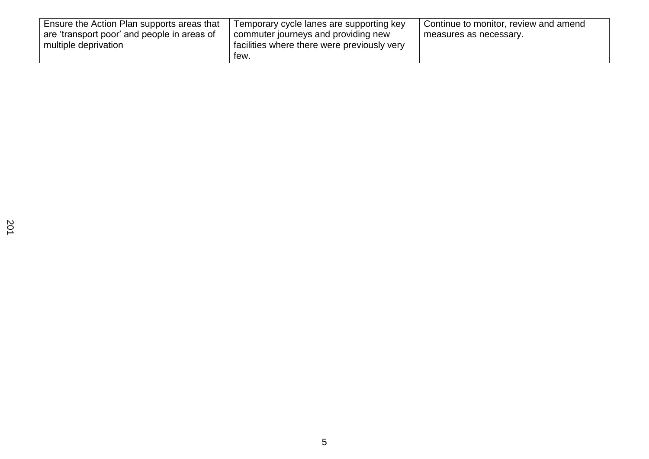| Ensure the Action Plan supports areas that  | Temporary cycle lanes are supporting key    | Continue to monitor, review and amend |
|---------------------------------------------|---------------------------------------------|---------------------------------------|
| are 'transport poor' and people in areas of | commuter journeys and providing new         | measures as necessary.                |
| multiple deprivation                        | facilities where there were previously very |                                       |
|                                             | tew.                                        |                                       |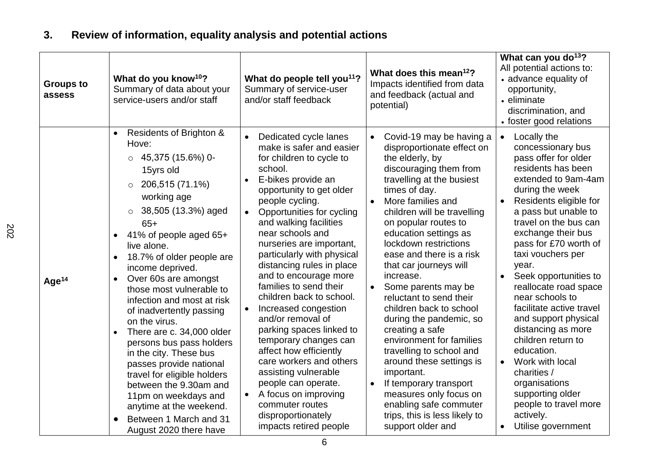#### **Groups to assess What do you know<sup>10</sup>?** Summary of data about your service-users and/or staff **What do people tell you<sup>11</sup>?** Summary of service-user and/or staff feedback **What does this mean<sup>12</sup>?** Impacts identified from data and feedback (actual and potential) **What can you do<sup>13</sup>?** All potential actions to: advance equality of opportunity, eliminate discrimination, and • foster good relations **Age<sup>14</sup>** Residents of Brighton & Hove: o 45,375 (15.6%) 0- 15yrs old  $\circ$  206,515 (71.1%) working age  $\circ$  38.505 (13.3%) aged 65+ 41% of people aged 65+ live alone. 18.7% of older people are income deprived. Over 60s are amongst those most vulnerable to infection and most at risk of inadvertently passing on the virus. • There are c. 34,000 older persons bus pass holders in the city. These bus passes provide national travel for eligible holders between the 9.30am and 11pm on weekdays and anytime at the weekend. ● Between 1 March and 31 August 2020 there have • Dedicated cycle lanes make is safer and easier for children to cycle to school. E-bikes provide an opportunity to get older people cycling. • Opportunities for cycling and walking facilities near schools and nurseries are important, particularly with physical distancing rules in place and to encourage more families to send their children back to school. • Increased congestion and/or removal of parking spaces linked to temporary changes can affect how efficiently care workers and others assisting vulnerable people can operate. • A focus on improving commuter routes disproportionately impacts retired people Covid-19 may be having a disproportionate effect on the elderly, by discouraging them from travelling at the busiest times of day. • More families and children will be travelling on popular routes to education settings as lockdown restrictions ease and there is a risk that car journeys will increase. • Some parents may be reluctant to send their children back to school during the pandemic, so creating a safe environment for families travelling to school and around these settings is important. • If temporary transport measures only focus on enabling safe commuter trips, this is less likely to support older and • Locally the concessionary bus pass offer for older residents has been extended to 9am-4am during the week Residents eligible for a pass but unable to travel on the bus can exchange their bus pass for £70 worth of taxi vouchers per year. Seek opportunities to reallocate road space near schools to facilitate active travel and support physical distancing as more children return to education. • Work with local charities / organisations supporting older people to travel more actively. Utilise government

# **3. Review of information, equality analysis and potential actions**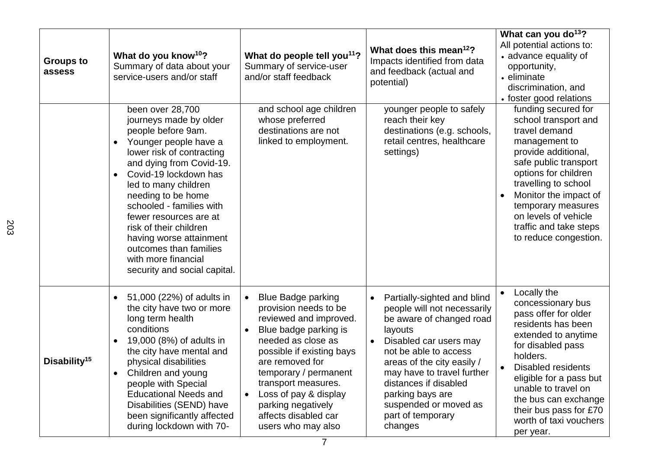| <b>Groups to</b><br>assess | What do you know <sup>10</sup> ?<br>Summary of data about your<br>service-users and/or staff                                                                                                                                                                                                                                                                                                                                                    | What do people tell you <sup>11</sup> ?<br>Summary of service-user<br>and/or staff feedback                                                                                                                                                                                                                                           | What does this mean <sup>12</sup> ?<br>Impacts identified from data<br>and feedback (actual and<br>potential)                                                                                                                                                                                                                       | What can you do <sup>13</sup> ?<br>All potential actions to:<br>• advance equality of<br>opportunity,<br>• eliminate<br>discrimination, and<br>• foster good relations                                                                                                                                               |
|----------------------------|-------------------------------------------------------------------------------------------------------------------------------------------------------------------------------------------------------------------------------------------------------------------------------------------------------------------------------------------------------------------------------------------------------------------------------------------------|---------------------------------------------------------------------------------------------------------------------------------------------------------------------------------------------------------------------------------------------------------------------------------------------------------------------------------------|-------------------------------------------------------------------------------------------------------------------------------------------------------------------------------------------------------------------------------------------------------------------------------------------------------------------------------------|----------------------------------------------------------------------------------------------------------------------------------------------------------------------------------------------------------------------------------------------------------------------------------------------------------------------|
|                            | been over 28,700<br>journeys made by older<br>people before 9am.<br>Younger people have a<br>$\bullet$<br>lower risk of contracting<br>and dying from Covid-19.<br>Covid-19 lockdown has<br>$\bullet$<br>led to many children<br>needing to be home<br>schooled - families with<br>fewer resources are at<br>risk of their children<br>having worse attainment<br>outcomes than families<br>with more financial<br>security and social capital. | and school age children<br>whose preferred<br>destinations are not<br>linked to employment.                                                                                                                                                                                                                                           | younger people to safely<br>reach their key<br>destinations (e.g. schools,<br>retail centres, healthcare<br>settings)                                                                                                                                                                                                               | funding secured for<br>school transport and<br>travel demand<br>management to<br>provide additional,<br>safe public transport<br>options for children<br>travelling to school<br>Monitor the impact of<br>temporary measures<br>on levels of vehicle<br>traffic and take steps<br>to reduce congestion.              |
| Disability <sup>15</sup>   | 51,000 (22%) of adults in<br>the city have two or more<br>long term health<br>conditions<br>19,000 (8%) of adults in<br>the city have mental and<br>physical disabilities<br>Children and young<br>people with Special<br><b>Educational Needs and</b><br>Disabilities (SEND) have<br>been significantly affected<br>during lockdown with 70-                                                                                                   | <b>Blue Badge parking</b><br>$\bullet$<br>provision needs to be<br>reviewed and improved.<br>Blue badge parking is<br>needed as close as<br>possible if existing bays<br>are removed for<br>temporary / permanent<br>transport measures.<br>Loss of pay & display<br>parking negatively<br>affects disabled car<br>users who may also | Partially-sighted and blind<br>$\bullet$<br>people will not necessarily<br>be aware of changed road<br>layouts<br>Disabled car users may<br>not be able to access<br>areas of the city easily /<br>may have to travel further<br>distances if disabled<br>parking bays are<br>suspended or moved as<br>part of temporary<br>changes | Locally the<br>concessionary bus<br>pass offer for older<br>residents has been<br>extended to anytime<br>for disabled pass<br>holders.<br>Disabled residents<br>$\bullet$<br>eligible for a pass but<br>unable to travel on<br>the bus can exchange<br>their bus pass for £70<br>worth of taxi vouchers<br>per year. |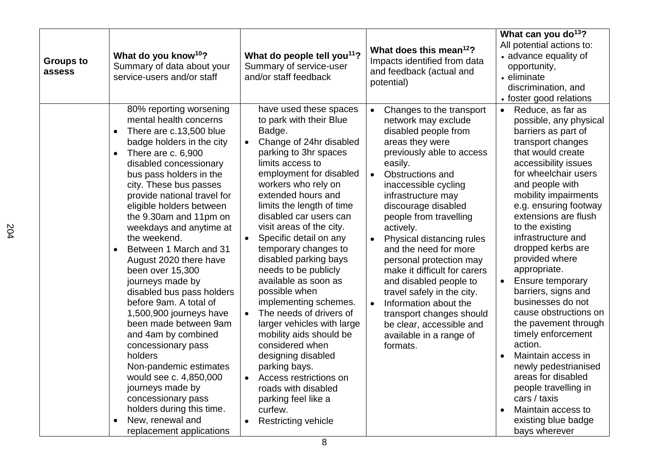| <b>Groups to</b><br>assess | What do you know <sup>10</sup> ?<br>Summary of data about your<br>service-users and/or staff                                                                                                                                                                                                                                                                                                                                                                                                                                                                                                                                                                                                                                                                                                                                                 | What do people tell you <sup>11</sup> ?<br>Summary of service-user<br>and/or staff feedback                                                                                                                                                                                                                                                                                                                                                                                                                                                                                                                                                                                                                                                                  | What does this mean <sup>12</sup> ?<br>Impacts identified from data<br>and feedback (actual and<br>potential)                                                                                                                                                                                                                                                                                                                                                                                                                                                                                                           | What can you do <sup>13</sup> ?<br>All potential actions to:<br>• advance equality of<br>opportunity,<br>• eliminate<br>discrimination, and<br>• foster good relations                                                                                                                                                                                                                                                                                                                                                                                                                                                                                                                                                |
|----------------------------|----------------------------------------------------------------------------------------------------------------------------------------------------------------------------------------------------------------------------------------------------------------------------------------------------------------------------------------------------------------------------------------------------------------------------------------------------------------------------------------------------------------------------------------------------------------------------------------------------------------------------------------------------------------------------------------------------------------------------------------------------------------------------------------------------------------------------------------------|--------------------------------------------------------------------------------------------------------------------------------------------------------------------------------------------------------------------------------------------------------------------------------------------------------------------------------------------------------------------------------------------------------------------------------------------------------------------------------------------------------------------------------------------------------------------------------------------------------------------------------------------------------------------------------------------------------------------------------------------------------------|-------------------------------------------------------------------------------------------------------------------------------------------------------------------------------------------------------------------------------------------------------------------------------------------------------------------------------------------------------------------------------------------------------------------------------------------------------------------------------------------------------------------------------------------------------------------------------------------------------------------------|-----------------------------------------------------------------------------------------------------------------------------------------------------------------------------------------------------------------------------------------------------------------------------------------------------------------------------------------------------------------------------------------------------------------------------------------------------------------------------------------------------------------------------------------------------------------------------------------------------------------------------------------------------------------------------------------------------------------------|
|                            | 80% reporting worsening<br>mental health concerns<br>There are c.13,500 blue<br>$\bullet$<br>badge holders in the city<br>There are c. 6,900<br>$\bullet$<br>disabled concessionary<br>bus pass holders in the<br>city. These bus passes<br>provide national travel for<br>eligible holders between<br>the 9.30am and 11pm on<br>weekdays and anytime at<br>the weekend.<br>Between 1 March and 31<br>$\bullet$<br>August 2020 there have<br>been over 15,300<br>journeys made by<br>disabled bus pass holders<br>before 9am. A total of<br>1,500,900 journeys have<br>been made between 9am<br>and 4am by combined<br>concessionary pass<br>holders<br>Non-pandemic estimates<br>would see c. 4,850,000<br>journeys made by<br>concessionary pass<br>holders during this time.<br>New, renewal and<br>$\bullet$<br>replacement applications | have used these spaces<br>to park with their Blue<br>Badge.<br>Change of 24hr disabled<br>parking to 3hr spaces<br>limits access to<br>employment for disabled<br>workers who rely on<br>extended hours and<br>limits the length of time<br>disabled car users can<br>visit areas of the city.<br>Specific detail on any<br>$\bullet$<br>temporary changes to<br>disabled parking bays<br>needs to be publicly<br>available as soon as<br>possible when<br>implementing schemes.<br>The needs of drivers of<br>$\bullet$<br>larger vehicles with large<br>mobility aids should be<br>considered when<br>designing disabled<br>parking bays.<br>Access restrictions on<br>roads with disabled<br>parking feel like a<br>curfew.<br><b>Restricting vehicle</b> | Changes to the transport<br>$\bullet$<br>network may exclude<br>disabled people from<br>areas they were<br>previously able to access<br>easily.<br>Obstructions and<br>$\bullet$<br>inaccessible cycling<br>infrastructure may<br>discourage disabled<br>people from travelling<br>actively.<br>Physical distancing rules<br>$\bullet$<br>and the need for more<br>personal protection may<br>make it difficult for carers<br>and disabled people to<br>travel safely in the city.<br>Information about the<br>$\bullet$<br>transport changes should<br>be clear, accessible and<br>available in a range of<br>formats. | Reduce, as far as<br>$\bullet$<br>possible, any physical<br>barriers as part of<br>transport changes<br>that would create<br>accessibility issues<br>for wheelchair users<br>and people with<br>mobility impairments<br>e.g. ensuring footway<br>extensions are flush<br>to the existing<br>infrastructure and<br>dropped kerbs are<br>provided where<br>appropriate.<br><b>Ensure temporary</b><br>barriers, signs and<br>businesses do not<br>cause obstructions on<br>the pavement through<br>timely enforcement<br>action.<br>Maintain access in<br>newly pedestrianised<br>areas for disabled<br>people travelling in<br>cars / taxis<br>Maintain access to<br>$\bullet$<br>existing blue badge<br>bays wherever |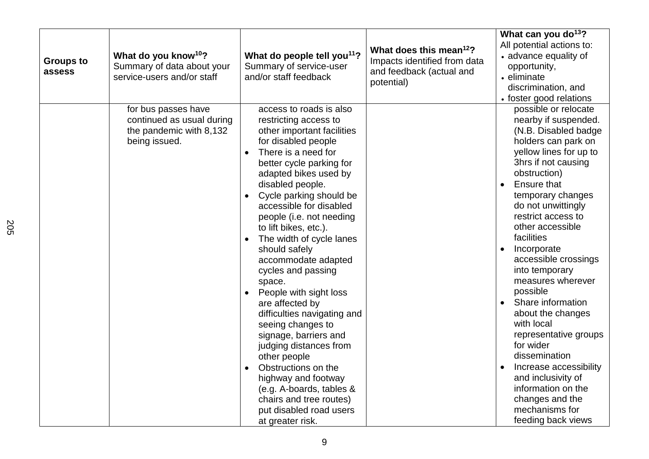| <b>Groups to</b><br>assess | What do you know <sup>10</sup> ?<br>Summary of data about your<br>service-users and/or staff | What do people tell you <sup>11</sup> ?<br>Summary of service-user<br>and/or staff feedback                                                                                                                                                                                                                                                                                                                                                                                                                                                                                                                                                                                                                                                                                                                   | What does this mean <sup>12</sup> ?<br>Impacts identified from data<br>and feedback (actual and<br>potential) | What can you do <sup>13</sup> ?<br>All potential actions to:<br>• advance equality of<br>opportunity,<br>• eliminate<br>discrimination, and<br>• foster good relations                                                                                                                                                                                                                                                                                                                                                                                                                                                   |
|----------------------------|----------------------------------------------------------------------------------------------|---------------------------------------------------------------------------------------------------------------------------------------------------------------------------------------------------------------------------------------------------------------------------------------------------------------------------------------------------------------------------------------------------------------------------------------------------------------------------------------------------------------------------------------------------------------------------------------------------------------------------------------------------------------------------------------------------------------------------------------------------------------------------------------------------------------|---------------------------------------------------------------------------------------------------------------|--------------------------------------------------------------------------------------------------------------------------------------------------------------------------------------------------------------------------------------------------------------------------------------------------------------------------------------------------------------------------------------------------------------------------------------------------------------------------------------------------------------------------------------------------------------------------------------------------------------------------|
|                            | for bus passes have<br>continued as usual during<br>the pandemic with 8,132<br>being issued. | access to roads is also<br>restricting access to<br>other important facilities<br>for disabled people<br>There is a need for<br>$\bullet$<br>better cycle parking for<br>adapted bikes used by<br>disabled people.<br>Cycle parking should be<br>$\bullet$<br>accessible for disabled<br>people (i.e. not needing<br>to lift bikes, etc.).<br>The width of cycle lanes<br>$\bullet$<br>should safely<br>accommodate adapted<br>cycles and passing<br>space.<br>People with sight loss<br>$\bullet$<br>are affected by<br>difficulties navigating and<br>seeing changes to<br>signage, barriers and<br>judging distances from<br>other people<br>Obstructions on the<br>$\bullet$<br>highway and footway<br>(e.g. A-boards, tables &<br>chairs and tree routes)<br>put disabled road users<br>at greater risk. |                                                                                                               | possible or relocate<br>nearby if suspended.<br>(N.B. Disabled badge<br>holders can park on<br>yellow lines for up to<br>3hrs if not causing<br>obstruction)<br>Ensure that<br>temporary changes<br>do not unwittingly<br>restrict access to<br>other accessible<br>facilities<br>Incorporate<br>accessible crossings<br>into temporary<br>measures wherever<br>possible<br>Share information<br>about the changes<br>with local<br>representative groups<br>for wider<br>dissemination<br>Increase accessibility<br>and inclusivity of<br>information on the<br>changes and the<br>mechanisms for<br>feeding back views |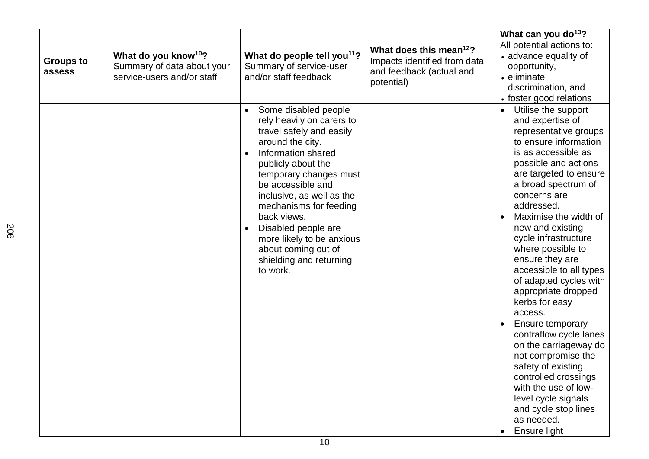| <b>Groups to</b><br>assess | What do you know <sup>10</sup> ?<br>Summary of data about your<br>service-users and/or staff | What do people tell you <sup>11</sup> ?<br>Summary of service-user<br>and/or staff feedback                                                                                                                                                                                                                                                                                                       | What does this mean <sup>12</sup> ?<br>Impacts identified from data<br>and feedback (actual and<br>potential) | What can you do <sup>13</sup> ?<br>All potential actions to:<br>• advance equality of<br>opportunity,<br>• eliminate<br>discrimination, and<br>• foster good relations                                                                                                                                                                                                                                                                                                                                                                                                                                                                                                                                                         |
|----------------------------|----------------------------------------------------------------------------------------------|---------------------------------------------------------------------------------------------------------------------------------------------------------------------------------------------------------------------------------------------------------------------------------------------------------------------------------------------------------------------------------------------------|---------------------------------------------------------------------------------------------------------------|--------------------------------------------------------------------------------------------------------------------------------------------------------------------------------------------------------------------------------------------------------------------------------------------------------------------------------------------------------------------------------------------------------------------------------------------------------------------------------------------------------------------------------------------------------------------------------------------------------------------------------------------------------------------------------------------------------------------------------|
|                            |                                                                                              | Some disabled people<br>$\bullet$<br>rely heavily on carers to<br>travel safely and easily<br>around the city.<br>Information shared<br>publicly about the<br>temporary changes must<br>be accessible and<br>inclusive, as well as the<br>mechanisms for feeding<br>back views.<br>Disabled people are<br>more likely to be anxious<br>about coming out of<br>shielding and returning<br>to work. |                                                                                                               | Utilise the support<br>$\bullet$<br>and expertise of<br>representative groups<br>to ensure information<br>is as accessible as<br>possible and actions<br>are targeted to ensure<br>a broad spectrum of<br>concerns are<br>addressed.<br>Maximise the width of<br>new and existing<br>cycle infrastructure<br>where possible to<br>ensure they are<br>accessible to all types<br>of adapted cycles with<br>appropriate dropped<br>kerbs for easy<br>access.<br><b>Ensure temporary</b><br>contraflow cycle lanes<br>on the carriageway do<br>not compromise the<br>safety of existing<br>controlled crossings<br>with the use of low-<br>level cycle signals<br>and cycle stop lines<br>as needed.<br>Ensure light<br>$\bullet$ |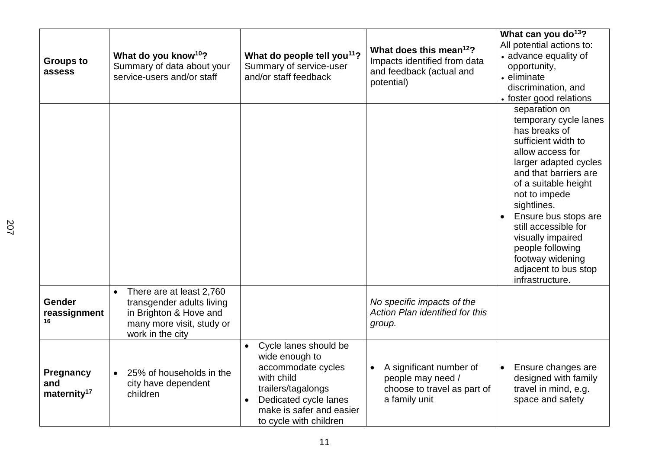| <b>Groups to</b><br>assess                  | What do you know <sup>10</sup> ?<br>Summary of data about your<br>service-users and/or staff                                                  | What do people tell you <sup>11</sup> ?<br>Summary of service-user<br>and/or staff feedback                                                                                                   | What does this mean <sup>12</sup> ?<br>Impacts identified from data<br>and feedback (actual and<br>potential) | What can you do <sup>13</sup> ?<br>All potential actions to:<br>• advance equality of<br>opportunity,<br>• eliminate<br>discrimination, and<br>• foster good relations                                                                                                                                                                                               |
|---------------------------------------------|-----------------------------------------------------------------------------------------------------------------------------------------------|-----------------------------------------------------------------------------------------------------------------------------------------------------------------------------------------------|---------------------------------------------------------------------------------------------------------------|----------------------------------------------------------------------------------------------------------------------------------------------------------------------------------------------------------------------------------------------------------------------------------------------------------------------------------------------------------------------|
|                                             |                                                                                                                                               |                                                                                                                                                                                               |                                                                                                               | separation on<br>temporary cycle lanes<br>has breaks of<br>sufficient width to<br>allow access for<br>larger adapted cycles<br>and that barriers are<br>of a suitable height<br>not to impede<br>sightlines.<br>Ensure bus stops are<br>still accessible for<br>visually impaired<br>people following<br>footway widening<br>adjacent to bus stop<br>infrastructure. |
| <b>Gender</b><br>reassignment<br>16         | There are at least 2,760<br>$\bullet$<br>transgender adults living<br>in Brighton & Hove and<br>many more visit, study or<br>work in the city |                                                                                                                                                                                               | No specific impacts of the<br>Action Plan identified for this<br>group.                                       |                                                                                                                                                                                                                                                                                                                                                                      |
| Pregnancy<br>and<br>maternity <sup>17</sup> | 25% of households in the<br>city have dependent<br>children                                                                                   | Cycle lanes should be<br>$\bullet$<br>wide enough to<br>accommodate cycles<br>with child<br>trailers/tagalongs<br>Dedicated cycle lanes<br>make is safer and easier<br>to cycle with children | A significant number of<br>people may need /<br>choose to travel as part of<br>a family unit                  | Ensure changes are<br>designed with family<br>travel in mind, e.g.<br>space and safety                                                                                                                                                                                                                                                                               |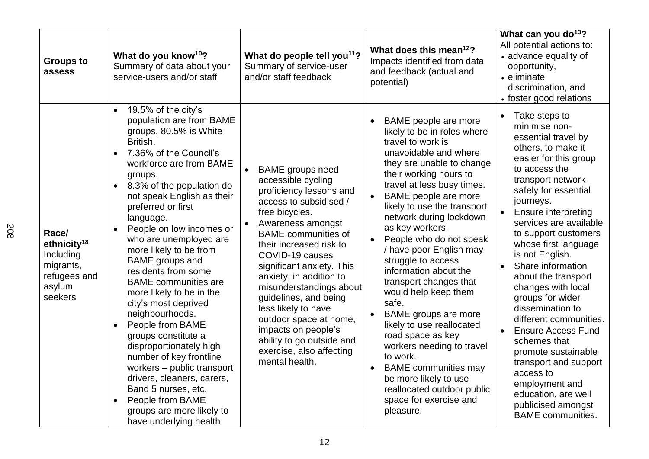| <b>Groups to</b><br>assess                                                                      | What do you know <sup>10</sup> ?<br>Summary of data about your<br>service-users and/or staff                                                                                                                                                                                                                                                                                                                                                                                                                                                                                                                                                                                                                                                                                                                        | What do people tell you <sup>11</sup> ?<br>Summary of service-user<br>and/or staff feedback                                                                                                                                                                                                                                                                                                                                                                                                       | What does this mean <sup>12</sup> ?<br>Impacts identified from data<br>and feedback (actual and<br>potential)                                                                                                                                                                                                                                                                                                                                                                                                                                                                                                                                                                                                            | What can you do <sup>13</sup> ?<br>All potential actions to:<br>• advance equality of<br>opportunity,<br>• eliminate<br>discrimination, and<br>• foster good relations                                                                                                                                                                                                                                                                                                                                                                                                                                                                                    |
|-------------------------------------------------------------------------------------------------|---------------------------------------------------------------------------------------------------------------------------------------------------------------------------------------------------------------------------------------------------------------------------------------------------------------------------------------------------------------------------------------------------------------------------------------------------------------------------------------------------------------------------------------------------------------------------------------------------------------------------------------------------------------------------------------------------------------------------------------------------------------------------------------------------------------------|---------------------------------------------------------------------------------------------------------------------------------------------------------------------------------------------------------------------------------------------------------------------------------------------------------------------------------------------------------------------------------------------------------------------------------------------------------------------------------------------------|--------------------------------------------------------------------------------------------------------------------------------------------------------------------------------------------------------------------------------------------------------------------------------------------------------------------------------------------------------------------------------------------------------------------------------------------------------------------------------------------------------------------------------------------------------------------------------------------------------------------------------------------------------------------------------------------------------------------------|-----------------------------------------------------------------------------------------------------------------------------------------------------------------------------------------------------------------------------------------------------------------------------------------------------------------------------------------------------------------------------------------------------------------------------------------------------------------------------------------------------------------------------------------------------------------------------------------------------------------------------------------------------------|
| Race/<br>ethnicity <sup>18</sup><br>Including<br>migrants,<br>refugees and<br>asylum<br>seekers | 19.5% of the city's<br>$\bullet$<br>population are from BAME<br>groups, 80.5% is White<br>British.<br>7.36% of the Council's<br>$\bullet$<br>workforce are from BAME<br>groups.<br>8.3% of the population do<br>$\bullet$<br>not speak English as their<br>preferred or first<br>language.<br>People on low incomes or<br>$\bullet$<br>who are unemployed are<br>more likely to be from<br>BAME groups and<br>residents from some<br><b>BAME</b> communities are<br>more likely to be in the<br>city's most deprived<br>neighbourhoods.<br>People from BAME<br>groups constitute a<br>disproportionately high<br>number of key frontline<br>workers - public transport<br>drivers, cleaners, carers,<br>Band 5 nurses, etc.<br>People from BAME<br>$\bullet$<br>groups are more likely to<br>have underlying health | <b>BAME</b> groups need<br>$\bullet$<br>accessible cycling<br>proficiency lessons and<br>access to subsidised /<br>free bicycles.<br>Awareness amongst<br><b>BAME</b> communities of<br>their increased risk to<br>COVID-19 causes<br>significant anxiety. This<br>anxiety, in addition to<br>misunderstandings about<br>guidelines, and being<br>less likely to have<br>outdoor space at home,<br>impacts on people's<br>ability to go outside and<br>exercise, also affecting<br>mental health. | BAME people are more<br>likely to be in roles where<br>travel to work is<br>unavoidable and where<br>they are unable to change<br>their working hours to<br>travel at less busy times.<br>BAME people are more<br>likely to use the transport<br>network during lockdown<br>as key workers.<br>People who do not speak<br>/ have poor English may<br>struggle to access<br>information about the<br>transport changes that<br>would help keep them<br>safe.<br>BAME groups are more<br>likely to use reallocated<br>road space as key<br>workers needing to travel<br>to work.<br><b>BAME</b> communities may<br>$\bullet$<br>be more likely to use<br>reallocated outdoor public<br>space for exercise and<br>pleasure. | Take steps to<br>minimise non-<br>essential travel by<br>others, to make it<br>easier for this group<br>to access the<br>transport network<br>safely for essential<br>journeys.<br>Ensure interpreting<br>services are available<br>to support customers<br>whose first language<br>is not English.<br>Share information<br>$\bullet$<br>about the transport<br>changes with local<br>groups for wider<br>dissemination to<br>different communities.<br><b>Ensure Access Fund</b><br>schemes that<br>promote sustainable<br>transport and support<br>access to<br>employment and<br>education, are well<br>publicised amongst<br><b>BAME</b> communities. |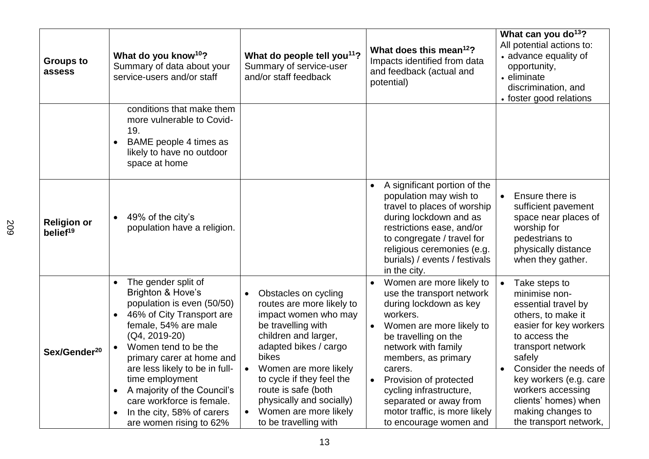| <b>Groups to</b><br>assess                 | What do you know <sup>10</sup> ?<br>Summary of data about your<br>service-users and/or staff                                                                                                                                                                                                                                                                                                            | What do people tell you <sup>11</sup> ?<br>Summary of service-user<br>and/or staff feedback                                                                                                                                                                                                                                       | What does this mean <sup>12</sup> ?<br>Impacts identified from data<br>and feedback (actual and<br>potential)                                                                                                                                                                                                                                                   | What can you do <sup>13</sup> ?<br>All potential actions to:<br>• advance equality of<br>opportunity,<br>• eliminate<br>discrimination, and<br>• foster good relations                                                                                                                               |
|--------------------------------------------|---------------------------------------------------------------------------------------------------------------------------------------------------------------------------------------------------------------------------------------------------------------------------------------------------------------------------------------------------------------------------------------------------------|-----------------------------------------------------------------------------------------------------------------------------------------------------------------------------------------------------------------------------------------------------------------------------------------------------------------------------------|-----------------------------------------------------------------------------------------------------------------------------------------------------------------------------------------------------------------------------------------------------------------------------------------------------------------------------------------------------------------|------------------------------------------------------------------------------------------------------------------------------------------------------------------------------------------------------------------------------------------------------------------------------------------------------|
|                                            | conditions that make them<br>more vulnerable to Covid-<br>19.<br>BAME people 4 times as<br>$\bullet$<br>likely to have no outdoor<br>space at home                                                                                                                                                                                                                                                      |                                                                                                                                                                                                                                                                                                                                   |                                                                                                                                                                                                                                                                                                                                                                 |                                                                                                                                                                                                                                                                                                      |
| <b>Religion or</b><br>belief <sup>19</sup> | 49% of the city's<br>$\bullet$<br>population have a religion.                                                                                                                                                                                                                                                                                                                                           |                                                                                                                                                                                                                                                                                                                                   | A significant portion of the<br>$\bullet$<br>population may wish to<br>travel to places of worship<br>during lockdown and as<br>restrictions ease, and/or<br>to congregate / travel for<br>religious ceremonies (e.g.<br>burials) / events / festivals<br>in the city.                                                                                          | Ensure there is<br>$\bullet$<br>sufficient pavement<br>space near places of<br>worship for<br>pedestrians to<br>physically distance<br>when they gather.                                                                                                                                             |
| Sex/Gender <sup>20</sup>                   | The gender split of<br>$\bullet$<br>Brighton & Hove's<br>population is even (50/50)<br>46% of City Transport are<br>female, 54% are male<br>$(Q4, 2019-20)$<br>Women tend to be the<br>$\bullet$<br>primary carer at home and<br>are less likely to be in full-<br>time employment<br>A majority of the Council's<br>care workforce is female.<br>In the city, 58% of carers<br>are women rising to 62% | Obstacles on cycling<br>$\bullet$<br>routes are more likely to<br>impact women who may<br>be travelling with<br>children and larger,<br>adapted bikes / cargo<br>bikes<br>Women are more likely<br>to cycle if they feel the<br>route is safe (both<br>physically and socially)<br>Women are more likely<br>to be travelling with | Women are more likely to<br>$\bullet$<br>use the transport network<br>during lockdown as key<br>workers.<br>Women are more likely to<br>be travelling on the<br>network with family<br>members, as primary<br>carers.<br>Provision of protected<br>cycling infrastructure,<br>separated or away from<br>motor traffic, is more likely<br>to encourage women and | Take steps to<br>minimise non-<br>essential travel by<br>others, to make it<br>easier for key workers<br>to access the<br>transport network<br>safely<br>Consider the needs of<br>key workers (e.g. care<br>workers accessing<br>clients' homes) when<br>making changes to<br>the transport network, |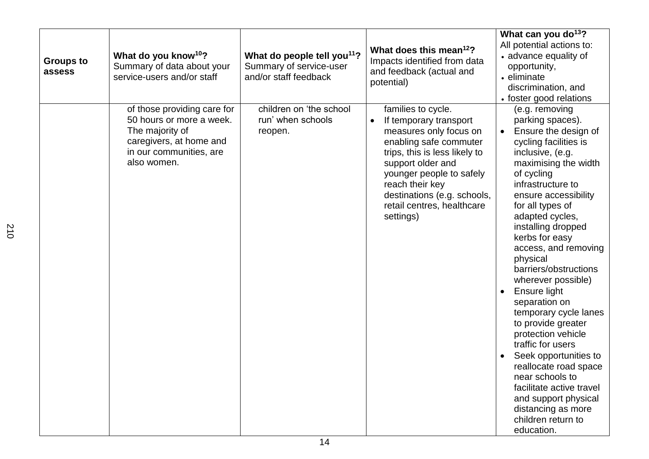| <b>Groups to</b><br>assess | What do you know <sup>10</sup> ?<br>Summary of data about your<br>service-users and/or staff                                                    | What do people tell you <sup>11</sup> ?<br>Summary of service-user<br>and/or staff feedback | What does this mean <sup>12</sup> ?<br>Impacts identified from data<br>and feedback (actual and<br>potential)                                                                                                                                                                                | What can you do <sup>13</sup> ?<br>All potential actions to:<br>• advance equality of<br>opportunity,<br>• eliminate<br>discrimination, and<br>• foster good relations                                                                                                                                                                                                                                                                                                                                                                                                                                                                                                                  |
|----------------------------|-------------------------------------------------------------------------------------------------------------------------------------------------|---------------------------------------------------------------------------------------------|----------------------------------------------------------------------------------------------------------------------------------------------------------------------------------------------------------------------------------------------------------------------------------------------|-----------------------------------------------------------------------------------------------------------------------------------------------------------------------------------------------------------------------------------------------------------------------------------------------------------------------------------------------------------------------------------------------------------------------------------------------------------------------------------------------------------------------------------------------------------------------------------------------------------------------------------------------------------------------------------------|
|                            | of those providing care for<br>50 hours or more a week.<br>The majority of<br>caregivers, at home and<br>in our communities, are<br>also women. | children on 'the school<br>run' when schools<br>reopen.                                     | families to cycle.<br>If temporary transport<br>$\bullet$<br>measures only focus on<br>enabling safe commuter<br>trips, this is less likely to<br>support older and<br>younger people to safely<br>reach their key<br>destinations (e.g. schools,<br>retail centres, healthcare<br>settings) | (e.g. removing<br>parking spaces).<br>Ensure the design of<br>$\bullet$<br>cycling facilities is<br>inclusive, (e.g.<br>maximising the width<br>of cycling<br>infrastructure to<br>ensure accessibility<br>for all types of<br>adapted cycles,<br>installing dropped<br>kerbs for easy<br>access, and removing<br>physical<br>barriers/obstructions<br>wherever possible)<br>Ensure light<br>separation on<br>temporary cycle lanes<br>to provide greater<br>protection vehicle<br>traffic for users<br>Seek opportunities to<br>reallocate road space<br>near schools to<br>facilitate active travel<br>and support physical<br>distancing as more<br>children return to<br>education. |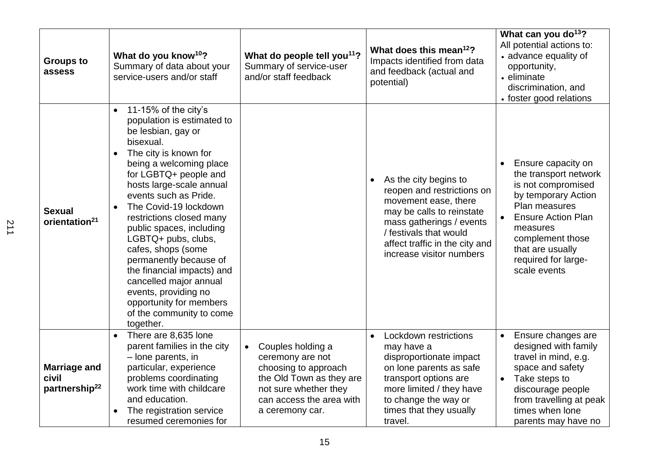| <b>Groups to</b><br>assess                                | What do you know <sup>10</sup> ?<br>Summary of data about your<br>service-users and/or staff                                                                                                                                                                                                                                                                                                                                                                                                                                                     | What do people tell you <sup>11</sup> ?<br>Summary of service-user<br>and/or staff feedback                                                                                    | What does this mean <sup>12</sup> ?<br>Impacts identified from data<br>and feedback (actual and<br>potential)                                                                                                                | What can you do <sup>13</sup> ?<br>All potential actions to:<br>• advance equality of<br>opportunity,<br>• eliminate<br>discrimination, and<br>• foster good relations                                                            |
|-----------------------------------------------------------|--------------------------------------------------------------------------------------------------------------------------------------------------------------------------------------------------------------------------------------------------------------------------------------------------------------------------------------------------------------------------------------------------------------------------------------------------------------------------------------------------------------------------------------------------|--------------------------------------------------------------------------------------------------------------------------------------------------------------------------------|------------------------------------------------------------------------------------------------------------------------------------------------------------------------------------------------------------------------------|-----------------------------------------------------------------------------------------------------------------------------------------------------------------------------------------------------------------------------------|
| <b>Sexual</b><br>orientation <sup>21</sup>                | 11-15% of the city's<br>$\bullet$<br>population is estimated to<br>be lesbian, gay or<br>bisexual.<br>The city is known for<br>being a welcoming place<br>for LGBTQ+ people and<br>hosts large-scale annual<br>events such as Pride.<br>The Covid-19 lockdown<br>restrictions closed many<br>public spaces, including<br>LGBTQ+ pubs, clubs,<br>cafes, shops (some<br>permanently because of<br>the financial impacts) and<br>cancelled major annual<br>events, providing no<br>opportunity for members<br>of the community to come<br>together. |                                                                                                                                                                                | As the city begins to<br>reopen and restrictions on<br>movement ease, there<br>may be calls to reinstate<br>mass gatherings / events<br>/ festivals that would<br>affect traffic in the city and<br>increase visitor numbers | Ensure capacity on<br>the transport network<br>is not compromised<br>by temporary Action<br>Plan measures<br><b>Ensure Action Plan</b><br>measures<br>complement those<br>that are usually<br>required for large-<br>scale events |
| <b>Marriage and</b><br>civil<br>partnership <sup>22</sup> | There are 8,635 lone<br>parent families in the city<br>- lone parents, in<br>particular, experience<br>problems coordinating<br>work time with childcare<br>and education.<br>The registration service<br>resumed ceremonies for                                                                                                                                                                                                                                                                                                                 | Couples holding a<br>$\bullet$<br>ceremony are not<br>choosing to approach<br>the Old Town as they are<br>not sure whether they<br>can access the area with<br>a ceremony car. | Lockdown restrictions<br>may have a<br>disproportionate impact<br>on lone parents as safe<br>transport options are<br>more limited / they have<br>to change the way or<br>times that they usually<br>travel.                 | Ensure changes are<br>$\bullet$<br>designed with family<br>travel in mind, e.g.<br>space and safety<br>Take steps to<br>$\bullet$<br>discourage people<br>from travelling at peak<br>times when lone<br>parents may have no       |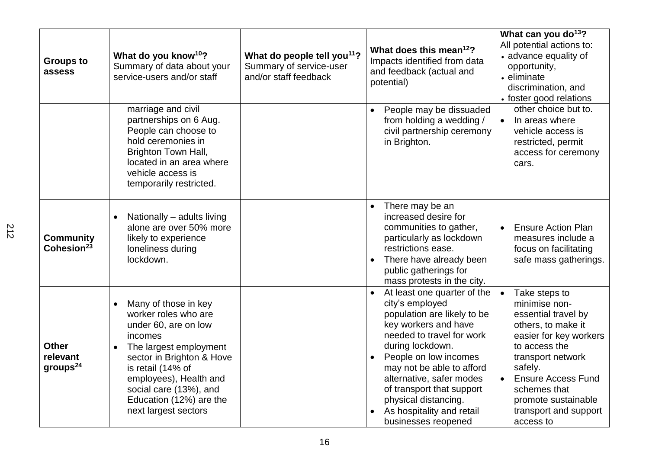| <b>Groups to</b><br>assess                      | What do you know <sup>10</sup> ?<br>Summary of data about your<br>service-users and/or staff                                                                                                                                                                                    | What do people tell you <sup>11</sup> ?<br>Summary of service-user<br>and/or staff feedback | What does this mean <sup>12</sup> ?<br>Impacts identified from data<br>and feedback (actual and<br>potential)                                                                                                                                                                                                                                                  | What can you do <sup>13</sup> ?<br>All potential actions to:<br>• advance equality of<br>opportunity,<br>• eliminate<br>discrimination, and<br>• foster good relations                                                                                           |
|-------------------------------------------------|---------------------------------------------------------------------------------------------------------------------------------------------------------------------------------------------------------------------------------------------------------------------------------|---------------------------------------------------------------------------------------------|----------------------------------------------------------------------------------------------------------------------------------------------------------------------------------------------------------------------------------------------------------------------------------------------------------------------------------------------------------------|------------------------------------------------------------------------------------------------------------------------------------------------------------------------------------------------------------------------------------------------------------------|
|                                                 | marriage and civil<br>partnerships on 6 Aug.<br>People can choose to<br>hold ceremonies in<br>Brighton Town Hall,<br>located in an area where<br>vehicle access is<br>temporarily restricted.                                                                                   |                                                                                             | People may be dissuaded<br>$\bullet$<br>from holding a wedding /<br>civil partnership ceremony<br>in Brighton.                                                                                                                                                                                                                                                 | other choice but to.<br>In areas where<br>vehicle access is<br>restricted, permit<br>access for ceremony<br>cars.                                                                                                                                                |
| <b>Community</b><br>Cohesion <sup>23</sup>      | Nationally - adults living<br>alone are over 50% more<br>likely to experience<br>loneliness during<br>lockdown.                                                                                                                                                                 |                                                                                             | There may be an<br>$\bullet$<br>increased desire for<br>communities to gather,<br>particularly as lockdown<br>restrictions ease.<br>There have already been<br>$\bullet$<br>public gatherings for<br>mass protests in the city.                                                                                                                                | <b>Ensure Action Plan</b><br>$\bullet$<br>measures include a<br>focus on facilitating<br>safe mass gatherings.                                                                                                                                                   |
| <b>Other</b><br>relevant<br>group <sup>24</sup> | Many of those in key<br>$\bullet$<br>worker roles who are<br>under 60, are on low<br>incomes<br>The largest employment<br>sector in Brighton & Hove<br>is retail (14% of<br>employees), Health and<br>social care (13%), and<br>Education (12%) are the<br>next largest sectors |                                                                                             | At least one quarter of the<br>$\bullet$<br>city's employed<br>population are likely to be<br>key workers and have<br>needed to travel for work<br>during lockdown.<br>People on low incomes<br>may not be able to afford<br>alternative, safer modes<br>of transport that support<br>physical distancing.<br>As hospitality and retail<br>businesses reopened | Take steps to<br>minimise non-<br>essential travel by<br>others, to make it<br>easier for key workers<br>to access the<br>transport network<br>safely.<br><b>Ensure Access Fund</b><br>schemes that<br>promote sustainable<br>transport and support<br>access to |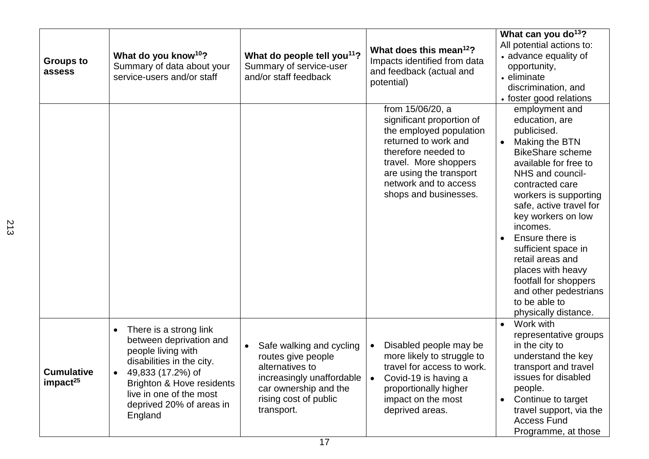| <b>Groups to</b><br>assess                | What do you know <sup>10</sup> ?<br>Summary of data about your<br>service-users and/or staff                                                                                                                                                     | What do people tell you <sup>11</sup> ?<br>Summary of service-user<br>and/or staff feedback                                                                                 | What does this mean <sup>12</sup> ?<br>Impacts identified from data<br>and feedback (actual and<br>potential)                                                                                                                 | What can you do <sup>13</sup> ?<br>All potential actions to:<br>• advance equality of<br>opportunity,<br>• eliminate<br>discrimination, and<br>• foster good relations                                                                                                                                                                                                                                                           |
|-------------------------------------------|--------------------------------------------------------------------------------------------------------------------------------------------------------------------------------------------------------------------------------------------------|-----------------------------------------------------------------------------------------------------------------------------------------------------------------------------|-------------------------------------------------------------------------------------------------------------------------------------------------------------------------------------------------------------------------------|----------------------------------------------------------------------------------------------------------------------------------------------------------------------------------------------------------------------------------------------------------------------------------------------------------------------------------------------------------------------------------------------------------------------------------|
|                                           |                                                                                                                                                                                                                                                  |                                                                                                                                                                             | from 15/06/20, a<br>significant proportion of<br>the employed population<br>returned to work and<br>therefore needed to<br>travel. More shoppers<br>are using the transport<br>network and to access<br>shops and businesses. | employment and<br>education, are<br>publicised.<br>Making the BTN<br><b>BikeShare scheme</b><br>available for free to<br>NHS and council-<br>contracted care<br>workers is supporting<br>safe, active travel for<br>key workers on low<br>incomes.<br>Ensure there is<br>sufficient space in<br>retail areas and<br>places with heavy<br>footfall for shoppers<br>and other pedestrians<br>to be able to<br>physically distance. |
| <b>Cumulative</b><br>impact <sup>25</sup> | There is a strong link<br>$\bullet$<br>between deprivation and<br>people living with<br>disabilities in the city.<br>49,833 (17.2%) of<br><b>Brighton &amp; Hove residents</b><br>live in one of the most<br>deprived 20% of areas in<br>England | Safe walking and cycling<br>$\bullet$<br>routes give people<br>alternatives to<br>increasingly unaffordable<br>car ownership and the<br>rising cost of public<br>transport. | Disabled people may be<br>more likely to struggle to<br>travel for access to work.<br>Covid-19 is having a<br>proportionally higher<br>impact on the most<br>deprived areas.                                                  | Work with<br>$\bullet$<br>representative groups<br>in the city to<br>understand the key<br>transport and travel<br>issues for disabled<br>people.<br>Continue to target<br>$\bullet$<br>travel support, via the<br><b>Access Fund</b><br>Programme, at those                                                                                                                                                                     |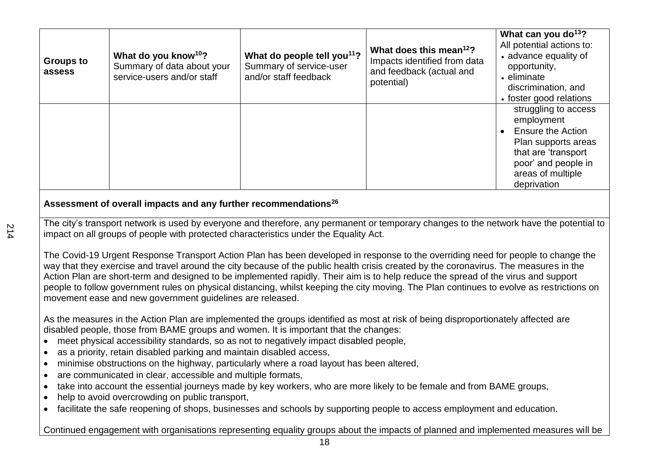| <b>Groups to</b><br>assess | What do you know <sup>10</sup> ?<br>Summary of data about your<br>service-users and/or staff | What do people tell you <sup>11</sup> ?<br>Summary of service-user<br>and/or staff feedback | What does this mean <sup>12</sup> ?<br>Impacts identified from data<br>and feedback (actual and<br>potential) | What can you do <sup>13</sup> ?<br>All potential actions to:<br>• advance equality of<br>opportunity,<br>• eliminate<br>discrimination, and<br>• foster good relations  |
|----------------------------|----------------------------------------------------------------------------------------------|---------------------------------------------------------------------------------------------|---------------------------------------------------------------------------------------------------------------|-------------------------------------------------------------------------------------------------------------------------------------------------------------------------|
|                            |                                                                                              |                                                                                             |                                                                                                               | struggling to access<br>employment<br><b>Ensure the Action</b><br>Plan supports areas<br>that are 'transport<br>poor' and people in<br>areas of multiple<br>deprivation |

## **Assessment of overall impacts and any further recommendations<sup>26</sup>**

The city's transport network is used by everyone and therefore, any permanent or temporary changes to the network have the potential to impact on all groups of people with protected characteristics under the Equality Act.

The Covid-19 Urgent Response Transport Action Plan has been developed in response to the overriding need for people to change the way that they exercise and travel around the city because of the public health crisis created by the coronavirus. The measures in the Action Plan are short-term and designed to be implemented rapidly. Their aim is to help reduce the spread of the virus and support people to follow government rules on physical distancing, whilst keeping the city moving. The Plan continues to evolve as restrictions on movement ease and new government guidelines are released.

As the measures in the Action Plan are implemented the groups identified as most at risk of being disproportionately affected are disabled people, those from BAME groups and women. It is important that the changes:

- meet physical accessibility standards, so as not to negatively impact disabled people,
- as a priority, retain disabled parking and maintain disabled access,
- minimise obstructions on the highway, particularly where a road layout has been altered,
- are communicated in clear, accessible and multiple formats,
- take into account the essential journeys made by key workers, who are more likely to be female and from BAME groups,
- help to avoid overcrowding on public transport,
- facilitate the safe reopening of shops, businesses and schools by supporting people to access employment and education.

Continued engagement with organisations representing equality groups about the impacts of planned and implemented measures will be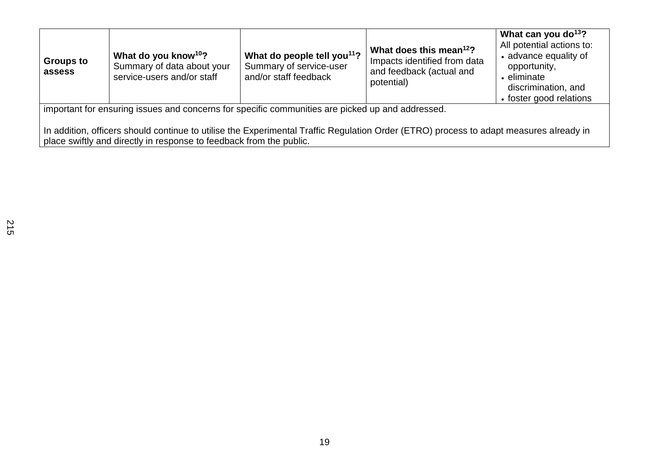| <b>Groups to</b><br>assess                                                                                                                                                                                    | What do you know <sup>10</sup> ?<br>Summary of data about your<br>service-users and/or staff | What do people tell you <sup>11</sup> ?<br>Summary of service-user<br>and/or staff feedback | What does this mean <sup>12</sup> ?<br>Impacts identified from data<br>and feedback (actual and<br>potential) | What can you do <sup>13</sup> ?<br>All potential actions to:<br>• advance equality of<br>opportunity,<br>• eliminate<br>discrimination, and<br>• foster good relations |  |
|---------------------------------------------------------------------------------------------------------------------------------------------------------------------------------------------------------------|----------------------------------------------------------------------------------------------|---------------------------------------------------------------------------------------------|---------------------------------------------------------------------------------------------------------------|------------------------------------------------------------------------------------------------------------------------------------------------------------------------|--|
| important for ensuring issues and concerns for specific communities are picked up and addressed.                                                                                                              |                                                                                              |                                                                                             |                                                                                                               |                                                                                                                                                                        |  |
| In addition, officers should continue to utilise the Experimental Traffic Regulation Order (ETRO) process to adapt measures already in<br>place swiftly and directly in response to feedback from the public. |                                                                                              |                                                                                             |                                                                                                               |                                                                                                                                                                        |  |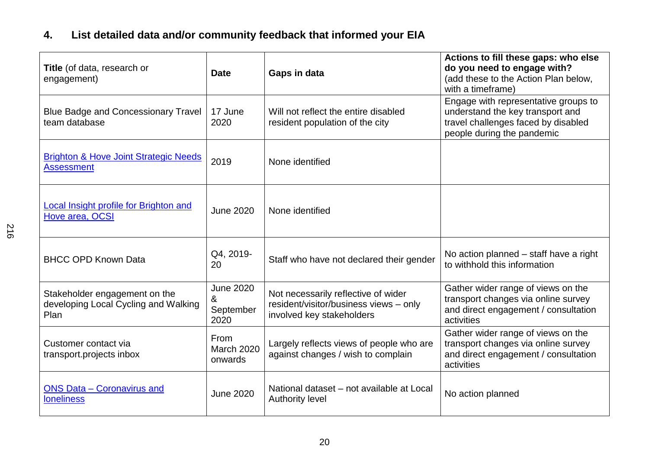# **4. List detailed data and/or community feedback that informed your EIA**

| <b>Title</b> (of data, research or<br>engagement)                             | <b>Date</b>                                | Gaps in data                                                                                               | Actions to fill these gaps: who else<br>do you need to engage with?<br>(add these to the Action Plan below,<br>with a timeframe)              |
|-------------------------------------------------------------------------------|--------------------------------------------|------------------------------------------------------------------------------------------------------------|-----------------------------------------------------------------------------------------------------------------------------------------------|
| <b>Blue Badge and Concessionary Travel</b><br>team database                   | 17 June<br>2020                            | Will not reflect the entire disabled<br>resident population of the city                                    | Engage with representative groups to<br>understand the key transport and<br>travel challenges faced by disabled<br>people during the pandemic |
| <b>Brighton &amp; Hove Joint Strategic Needs</b><br><b>Assessment</b>         | 2019                                       | None identified                                                                                            |                                                                                                                                               |
| Local Insight profile for Brighton and<br>Hove area, OCSI                     | <b>June 2020</b>                           | None identified                                                                                            |                                                                                                                                               |
| <b>BHCC OPD Known Data</b>                                                    | Q4, 2019-<br>20                            | Staff who have not declared their gender                                                                   | No action planned - staff have a right<br>to withhold this information                                                                        |
| Stakeholder engagement on the<br>developing Local Cycling and Walking<br>Plan | <b>June 2020</b><br>&<br>September<br>2020 | Not necessarily reflective of wider<br>resident/visitor/business views - only<br>involved key stakeholders | Gather wider range of views on the<br>transport changes via online survey<br>and direct engagement / consultation<br>activities               |
| Customer contact via<br>transport.projects inbox                              | <b>From</b><br>March 2020<br>onwards       | Largely reflects views of people who are<br>against changes / wish to complain                             | Gather wider range of views on the<br>transport changes via online survey<br>and direct engagement / consultation<br>activities               |
| <b>ONS Data - Coronavirus and</b><br><b>loneliness</b>                        | <b>June 2020</b>                           | National dataset – not available at Local<br><b>Authority level</b>                                        | No action planned                                                                                                                             |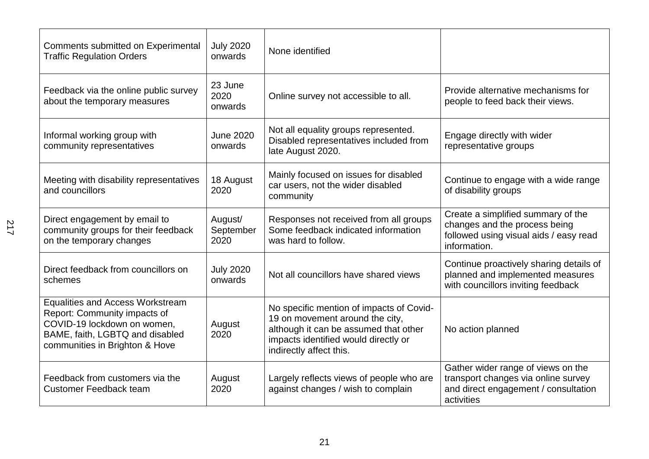| Comments submitted on Experimental<br><b>Traffic Regulation Orders</b>                                                                                                      | <b>July 2020</b><br>onwards  | None identified                                                                                                                                                                         |                                                                                                                                 |
|-----------------------------------------------------------------------------------------------------------------------------------------------------------------------------|------------------------------|-----------------------------------------------------------------------------------------------------------------------------------------------------------------------------------------|---------------------------------------------------------------------------------------------------------------------------------|
| Feedback via the online public survey<br>about the temporary measures                                                                                                       | 23 June<br>2020<br>onwards   | Online survey not accessible to all.                                                                                                                                                    | Provide alternative mechanisms for<br>people to feed back their views.                                                          |
| Informal working group with<br>community representatives                                                                                                                    | <b>June 2020</b><br>onwards  | Not all equality groups represented.<br>Disabled representatives included from<br>late August 2020.                                                                                     | Engage directly with wider<br>representative groups                                                                             |
| Meeting with disability representatives<br>and councillors                                                                                                                  | 18 August<br>2020            | Mainly focused on issues for disabled<br>car users, not the wider disabled<br>community                                                                                                 | Continue to engage with a wide range<br>of disability groups                                                                    |
| Direct engagement by email to<br>community groups for their feedback<br>on the temporary changes                                                                            | August/<br>September<br>2020 | Responses not received from all groups<br>Some feedback indicated information<br>was hard to follow.                                                                                    | Create a simplified summary of the<br>changes and the process being<br>followed using visual aids / easy read<br>information.   |
| Direct feedback from councillors on<br>schemes                                                                                                                              | <b>July 2020</b><br>onwards  | Not all councillors have shared views                                                                                                                                                   | Continue proactively sharing details of<br>planned and implemented measures<br>with councillors inviting feedback               |
| <b>Equalities and Access Workstream</b><br>Report: Community impacts of<br>COVID-19 lockdown on women,<br>BAME, faith, LGBTQ and disabled<br>communities in Brighton & Hove | August<br>2020               | No specific mention of impacts of Covid-<br>19 on movement around the city,<br>although it can be assumed that other<br>impacts identified would directly or<br>indirectly affect this. | No action planned                                                                                                               |
| Feedback from customers via the<br><b>Customer Feedback team</b>                                                                                                            | August<br>2020               | Largely reflects views of people who are<br>against changes / wish to complain                                                                                                          | Gather wider range of views on the<br>transport changes via online survey<br>and direct engagement / consultation<br>activities |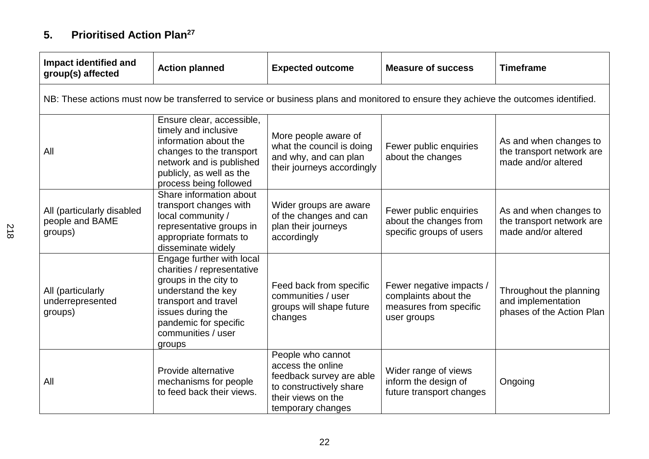# **5. Prioritised Action Plan<sup>27</sup>**

| <b>Impact identified and</b><br>group(s) affected        | <b>Action planned</b>                                                                                                                                                                                        | <b>Expected outcome</b>                                                                                                                  | <b>Measure of success</b>                                                                 | <b>Timeframe</b>                                                           |
|----------------------------------------------------------|--------------------------------------------------------------------------------------------------------------------------------------------------------------------------------------------------------------|------------------------------------------------------------------------------------------------------------------------------------------|-------------------------------------------------------------------------------------------|----------------------------------------------------------------------------|
|                                                          | NB: These actions must now be transferred to service or business plans and monitored to ensure they achieve the outcomes identified.                                                                         |                                                                                                                                          |                                                                                           |                                                                            |
| All                                                      | Ensure clear, accessible,<br>timely and inclusive<br>information about the<br>changes to the transport<br>network and is published<br>publicly, as well as the<br>process being followed                     | More people aware of<br>what the council is doing<br>and why, and can plan<br>their journeys accordingly                                 | Fewer public enquiries<br>about the changes                                               | As and when changes to<br>the transport network are<br>made and/or altered |
| All (particularly disabled<br>people and BAME<br>groups) | Share information about<br>transport changes with<br>local community /<br>representative groups in<br>appropriate formats to<br>disseminate widely                                                           | Wider groups are aware<br>of the changes and can<br>plan their journeys<br>accordingly                                                   | Fewer public enquiries<br>about the changes from<br>specific groups of users              | As and when changes to<br>the transport network are<br>made and/or altered |
| All (particularly<br>underrepresented<br>groups)         | Engage further with local<br>charities / representative<br>groups in the city to<br>understand the key<br>transport and travel<br>issues during the<br>pandemic for specific<br>communities / user<br>groups | Feed back from specific<br>communities / user<br>groups will shape future<br>changes                                                     | Fewer negative impacts /<br>complaints about the<br>measures from specific<br>user groups | Throughout the planning<br>and implementation<br>phases of the Action Plan |
| All                                                      | Provide alternative<br>mechanisms for people<br>to feed back their views.                                                                                                                                    | People who cannot<br>access the online<br>feedback survey are able<br>to constructively share<br>their views on the<br>temporary changes | Wider range of views<br>inform the design of<br>future transport changes                  | Ongoing                                                                    |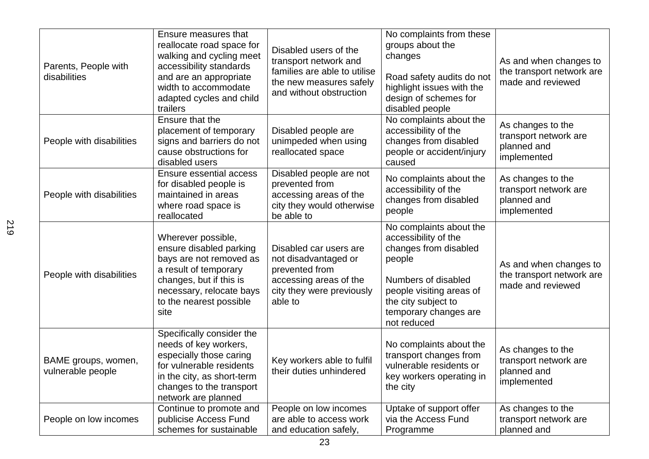| Parents, People with<br>disabilities     | Ensure measures that<br>reallocate road space for<br>walking and cycling meet<br>accessibility standards<br>and are an appropriate<br>width to accommodate<br>adapted cycles and child<br>trailers | Disabled users of the<br>transport network and<br>families are able to utilise<br>the new measures safely<br>and without obstruction | No complaints from these<br>groups about the<br>changes<br>Road safety audits do not<br>highlight issues with the<br>design of schemes for<br>disabled people                                        | As and when changes to<br>the transport network are<br>made and reviewed |
|------------------------------------------|----------------------------------------------------------------------------------------------------------------------------------------------------------------------------------------------------|--------------------------------------------------------------------------------------------------------------------------------------|------------------------------------------------------------------------------------------------------------------------------------------------------------------------------------------------------|--------------------------------------------------------------------------|
| People with disabilities                 | Ensure that the<br>placement of temporary<br>signs and barriers do not<br>cause obstructions for<br>disabled users                                                                                 | Disabled people are<br>unimpeded when using<br>reallocated space                                                                     | No complaints about the<br>accessibility of the<br>changes from disabled<br>people or accident/injury<br>caused                                                                                      | As changes to the<br>transport network are<br>planned and<br>implemented |
| People with disabilities                 | <b>Ensure essential access</b><br>for disabled people is<br>maintained in areas<br>where road space is<br>reallocated                                                                              | Disabled people are not<br>prevented from<br>accessing areas of the<br>city they would otherwise<br>be able to                       | No complaints about the<br>accessibility of the<br>changes from disabled<br>people                                                                                                                   | As changes to the<br>transport network are<br>planned and<br>implemented |
| People with disabilities                 | Wherever possible,<br>ensure disabled parking<br>bays are not removed as<br>a result of temporary<br>changes, but if this is<br>necessary, relocate bays<br>to the nearest possible<br>site        | Disabled car users are<br>not disadvantaged or<br>prevented from<br>accessing areas of the<br>city they were previously<br>able to   | No complaints about the<br>accessibility of the<br>changes from disabled<br>people<br>Numbers of disabled<br>people visiting areas of<br>the city subject to<br>temporary changes are<br>not reduced | As and when changes to<br>the transport network are<br>made and reviewed |
| BAME groups, women,<br>vulnerable people | Specifically consider the<br>needs of key workers,<br>especially those caring<br>for vulnerable residents<br>in the city, as short-term<br>changes to the transport<br>network are planned         | Key workers able to fulfil<br>their duties unhindered                                                                                | No complaints about the<br>transport changes from<br>vulnerable residents or<br>key workers operating in<br>the city                                                                                 | As changes to the<br>transport network are<br>planned and<br>implemented |
| People on low incomes                    | Continue to promote and<br>publicise Access Fund<br>schemes for sustainable                                                                                                                        | People on low incomes<br>are able to access work<br>and education safely,                                                            | Uptake of support offer<br>via the Access Fund<br>Programme                                                                                                                                          | As changes to the<br>transport network are<br>planned and                |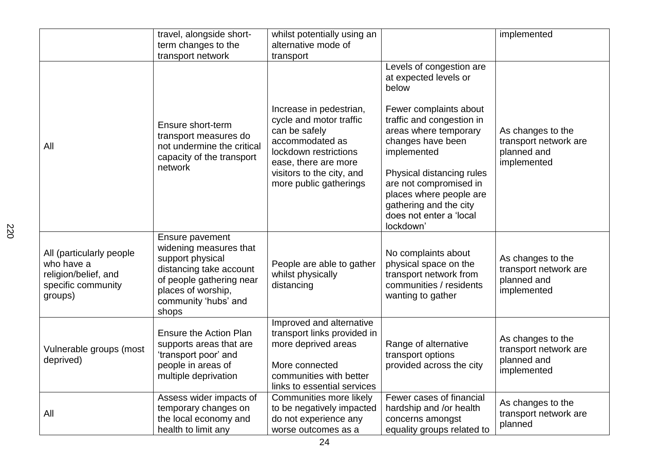|                                                                                                 | travel, alongside short-<br>term changes to the<br>transport network                                                                                                        | whilst potentially using an<br>alternative mode of<br>transport                                                                                                                                |                                                                                                                                                                                                                                                                                                                                    | implemented                                                              |
|-------------------------------------------------------------------------------------------------|-----------------------------------------------------------------------------------------------------------------------------------------------------------------------------|------------------------------------------------------------------------------------------------------------------------------------------------------------------------------------------------|------------------------------------------------------------------------------------------------------------------------------------------------------------------------------------------------------------------------------------------------------------------------------------------------------------------------------------|--------------------------------------------------------------------------|
| All                                                                                             | Ensure short-term<br>transport measures do<br>not undermine the critical<br>capacity of the transport<br>network                                                            | Increase in pedestrian,<br>cycle and motor traffic<br>can be safely<br>accommodated as<br>lockdown restrictions<br>ease, there are more<br>visitors to the city, and<br>more public gatherings | Levels of congestion are<br>at expected levels or<br>below<br>Fewer complaints about<br>traffic and congestion in<br>areas where temporary<br>changes have been<br>implemented<br>Physical distancing rules<br>are not compromised in<br>places where people are<br>gathering and the city<br>does not enter a 'local<br>lockdown' | As changes to the<br>transport network are<br>planned and<br>implemented |
| All (particularly people<br>who have a<br>religion/belief, and<br>specific community<br>groups) | Ensure pavement<br>widening measures that<br>support physical<br>distancing take account<br>of people gathering near<br>places of worship,<br>community 'hubs' and<br>shops | People are able to gather<br>whilst physically<br>distancing                                                                                                                                   | No complaints about<br>physical space on the<br>transport network from<br>communities / residents<br>wanting to gather                                                                                                                                                                                                             | As changes to the<br>transport network are<br>planned and<br>implemented |
| Vulnerable groups (most<br>deprived)                                                            | Ensure the Action Plan<br>supports areas that are<br>'transport poor' and<br>people in areas of<br>multiple deprivation                                                     | Improved and alternative<br>transport links provided in<br>more deprived areas<br>More connected<br>communities with better<br>links to essential services                                     | Range of alternative<br>transport options<br>provided across the city                                                                                                                                                                                                                                                              | As changes to the<br>transport network are<br>planned and<br>implemented |
| All                                                                                             | Assess wider impacts of<br>temporary changes on<br>the local economy and<br>health to limit any                                                                             | Communities more likely<br>to be negatively impacted<br>do not experience any<br>worse outcomes as a                                                                                           | Fewer cases of financial<br>hardship and /or health<br>concerns amongst<br>equality groups related to                                                                                                                                                                                                                              | As changes to the<br>transport network are<br>planned                    |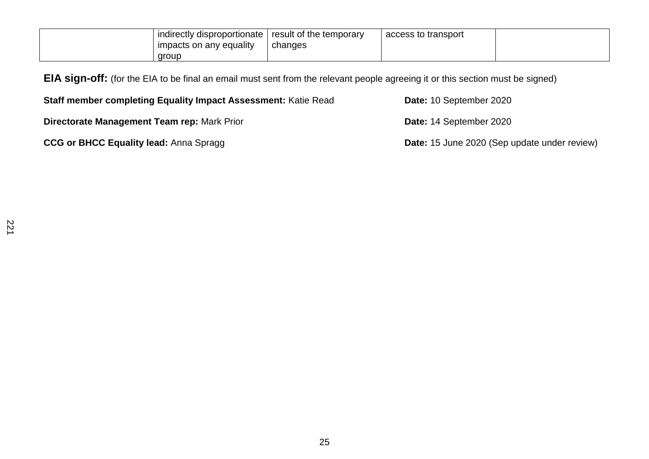| indirectly disproportionate  <br>impacts on any equality | result of the temporary<br>changes | access to transport |  |
|----------------------------------------------------------|------------------------------------|---------------------|--|
| aroup                                                    |                                    |                     |  |

**EIA sign-off:** (for the EIA to be final an email must sent from the relevant people agreeing it or this section must be signed)

| <b>Staff member completing Equality Impact Assessment: Katie Read</b> | Date: 10 September 2020                             |
|-----------------------------------------------------------------------|-----------------------------------------------------|
| Directorate Management Team rep: Mark Prior                           | Date: 14 September 2020                             |
| <b>CCG or BHCC Equality lead:</b> Anna Spragg                         | <b>Date:</b> 15 June 2020 (Sep update under review) |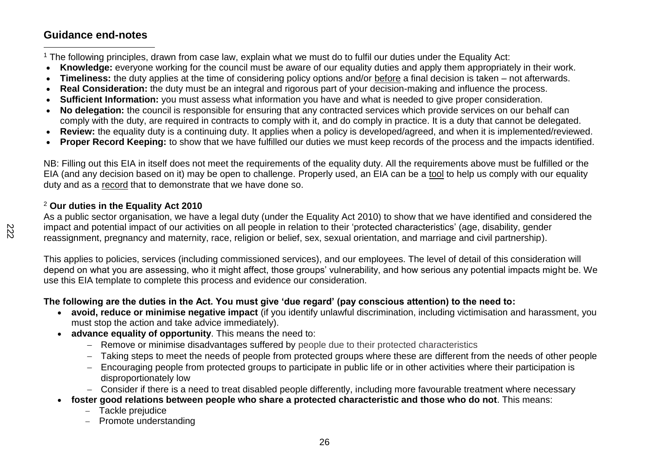# **Guidance end-notes**

 $\overline{a}$ <sup>1</sup> The following principles, drawn from case law, explain what we must do to fulfil our duties under the Equality Act:

- **Knowledge:** everyone working for the council must be aware of our equality duties and apply them appropriately in their work.
- **Timeliness:** the duty applies at the time of considering policy options and/or before a final decision is taken not afterwards.
- **Real Consideration:** the duty must be an integral and rigorous part of your decision-making and influence the process.
- **Sufficient Information:** you must assess what information you have and what is needed to give proper consideration.
- **No delegation:** the council is responsible for ensuring that any contracted services which provide services on our behalf can comply with the duty, are required in contracts to comply with it, and do comply in practice. It is a duty that cannot be delegated.
- **Review:** the equality duty is a continuing duty. It applies when a policy is developed/agreed, and when it is implemented/reviewed.
- **Proper Record Keeping:** to show that we have fulfilled our duties we must keep records of the process and the impacts identified.

NB: Filling out this EIA in itself does not meet the requirements of the equality duty. All the requirements above must be fulfilled or the EIA (and any decision based on it) may be open to challenge. Properly used, an EIA can be a tool to help us comply with our equality duty and as a record that to demonstrate that we have done so.

#### <sup>2</sup> **Our duties in the Equality Act 2010**

As a public sector organisation, we have a legal duty (under the Equality Act 2010) to show that we have identified and considered the impact and potential impact of our activities on all people in relation to their 'protected characteristics' (age, disability, gender reassignment, pregnancy and maternity, race, religion or belief, sex, sexual orientation, and marriage and civil partnership).

This applies to policies, services (including commissioned services), and our employees. The level of detail of this consideration will depend on what you are assessing, who it might affect, those groups' vulnerability, and how serious any potential impacts might be. We use this EIA template to complete this process and evidence our consideration.

## **The following are the duties in the Act. You must give 'due regard' (pay conscious attention) to the need to:**

- **avoid, reduce or minimise negative impact** (if you identify unlawful discrimination, including victimisation and harassment, you must stop the action and take advice immediately).
- **advance equality of opportunity**. This means the need to:
	- Remove or minimise disadvantages suffered by people due to their protected characteristics
	- Taking steps to meet the needs of people from protected groups where these are different from the needs of other people
	- Encouraging people from protected groups to participate in public life or in other activities where their participation is disproportionately low
	- Consider if there is a need to treat disabled people differently, including more favourable treatment where necessary
- **foster good relations between people who share a protected characteristic and those who do not**. This means:
	- Tackle prejudice
	- Promote understanding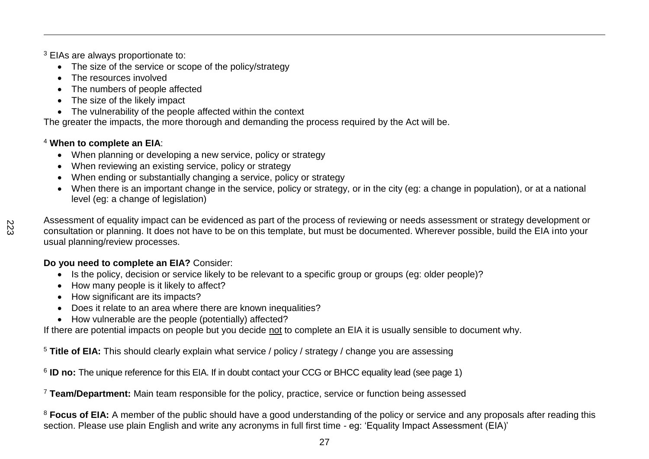<sup>3</sup> EIAs are always proportionate to:

- The size of the service or scope of the policy/strategy
- The resources involved
- The numbers of people affected
- The size of the likely impact
- The vulnerability of the people affected within the context

The greater the impacts, the more thorough and demanding the process required by the Act will be.

## <sup>4</sup> **When to complete an EIA**:

- When planning or developing a new service, policy or strategy
- When reviewing an existing service, policy or strategy
- When ending or substantially changing a service, policy or strategy
- When there is an important change in the service, policy or strategy, or in the city (eg: a change in population), or at a national level (eg: a change of legislation)

 $\overline{a}$ 

Assessment of equality impact can be evidenced as part of the process of reviewing or needs assessment or strategy development or consultation or planning. It does not have to be on this template, but must be documented. Wherever possible, build the EIA into your usual planning/review processes.

## **Do you need to complete an EIA?** Consider:

- Is the policy, decision or service likely to be relevant to a specific group or groups (eg: older people)?
- How many people is it likely to affect?
- How significant are its impacts?
- Does it relate to an area where there are known inequalities?
- How vulnerable are the people (potentially) affected?

If there are potential impacts on people but you decide not to complete an EIA it is usually sensible to document why.

<sup>5</sup> **Title of EIA:** This should clearly explain what service / policy / strategy / change you are assessing

<sup>6</sup> ID no: The unique reference for this EIA. If in doubt contact your CCG or BHCC equality lead (see page 1)

<sup>7</sup> **Team/Department:** Main team responsible for the policy, practice, service or function being assessed

<sup>8</sup> Focus of EIA: A member of the public should have a good understanding of the policy or service and any proposals after reading this section. Please use plain English and write any acronyms in full first time - eg: 'Equality Impact Assessment (EIA)'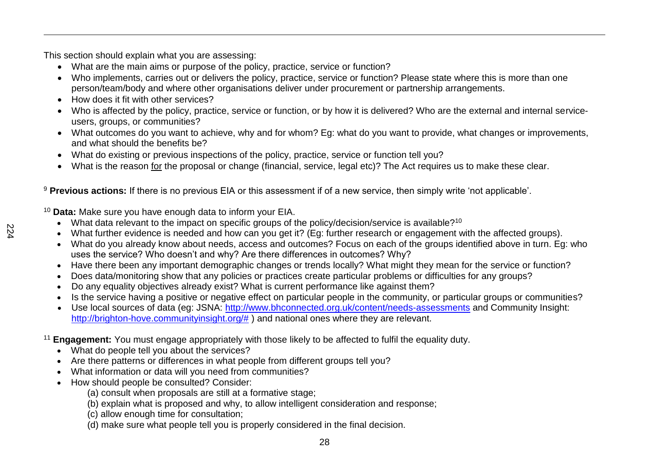This section should explain what you are assessing:

- What are the main aims or purpose of the policy, practice, service or function?
- Who implements, carries out or delivers the policy, practice, service or function? Please state where this is more than one person/team/body and where other organisations deliver under procurement or partnership arrangements.
- How does it fit with other services?
- Who is affected by the policy, practice, service or function, or by how it is delivered? Who are the external and internal serviceusers, groups, or communities?
- What outcomes do you want to achieve, why and for whom? Eg: what do you want to provide, what changes or improvements, and what should the benefits be?
- What do existing or previous inspections of the policy, practice, service or function tell you?
- What is the reason for the proposal or change (financial, service, legal etc)? The Act requires us to make these clear.

<sup>9</sup> Previous actions: If there is no previous EIA or this assessment if of a new service, then simply write 'not applicable'.

<sup>10</sup> **Data:** Make sure you have enough data to inform your EIA.

- What data relevant to the impact on specific groups of the policy/decision/service is available?<sup>10</sup>
- What further evidence is needed and how can you get it? (Eg: further research or engagement with the affected groups).
- What do you already know about needs, access and outcomes? Focus on each of the groups identified above in turn. Eg: who uses the service? Who doesn't and why? Are there differences in outcomes? Why?
- Have there been any important demographic changes or trends locally? What might they mean for the service or function?
- Does data/monitoring show that any policies or practices create particular problems or difficulties for any groups?
- Do any equality objectives already exist? What is current performance like against them?
- Is the service having a positive or negative effect on particular people in the community, or particular groups or communities?
- Use local sources of data (eg: JSNA:<http://www.bhconnected.org.uk/content/needs-assessments> and Community Insight: <http://brighton-hove.communityinsight.org/#> ) and national ones where they are relevant.

<sup>11</sup> **Engagement:** You must engage appropriately with those likely to be affected to fulfil the equality duty.

- What do people tell you about the services?
- Are there patterns or differences in what people from different groups tell you?
- What information or data will you need from communities?
- How should people be consulted? Consider:
	- (a) consult when proposals are still at a formative stage;
	- (b) explain what is proposed and why, to allow intelligent consideration and response;
	- (c) allow enough time for consultation;
	- (d) make sure what people tell you is properly considered in the final decision.

 $\overline{a}$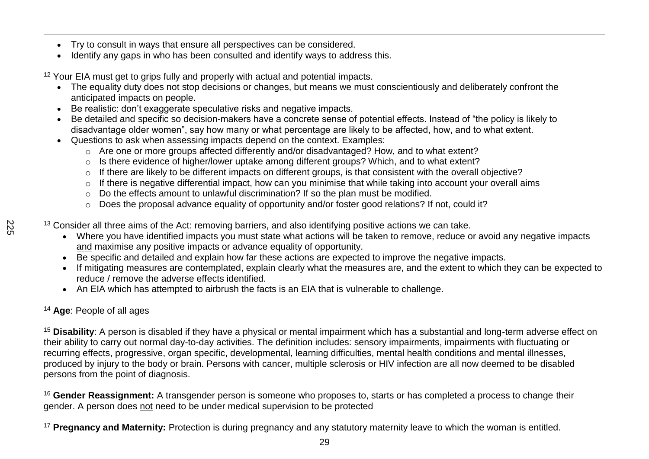- Try to consult in ways that ensure all perspectives can be considered.
- Identify any gaps in who has been consulted and identify ways to address this.

<sup>12</sup> Your EIA must get to grips fully and properly with actual and potential impacts.

- The equality duty does not stop decisions or changes, but means we must conscientiously and deliberately confront the anticipated impacts on people.
- Be realistic: don't exaggerate speculative risks and negative impacts.
- Be detailed and specific so decision-makers have a concrete sense of potential effects. Instead of "the policy is likely to disadvantage older women", say how many or what percentage are likely to be affected, how, and to what extent.
- Questions to ask when assessing impacts depend on the context. Examples:
	- o Are one or more groups affected differently and/or disadvantaged? How, and to what extent?
	- o Is there evidence of higher/lower uptake among different groups? Which, and to what extent?
	- o If there are likely to be different impacts on different groups, is that consistent with the overall objective?
	- o If there is negative differential impact, how can you minimise that while taking into account your overall aims
	- o Do the effects amount to unlawful discrimination? If so the plan must be modified.
	- o Does the proposal advance equality of opportunity and/or foster good relations? If not, could it?
- <sup>13</sup> Consider all three aims of the Act: removing barriers, and also identifying positive actions we can take.
	- Where you have identified impacts you must state what actions will be taken to remove, reduce or avoid any negative impacts and maximise any positive impacts or advance equality of opportunity.
	- Be specific and detailed and explain how far these actions are expected to improve the negative impacts.
	- If mitigating measures are contemplated, explain clearly what the measures are, and the extent to which they can be expected to reduce / remove the adverse effects identified.
	- An EIA which has attempted to airbrush the facts is an EIA that is vulnerable to challenge.

## <sup>14</sup> **Age**: People of all ages

 $\overline{a}$ 

225

<sup>15</sup> Disability: A person is disabled if they have a physical or mental impairment which has a substantial and long-term adverse effect on their ability to carry out normal day-to-day activities. The definition includes: sensory impairments, impairments with fluctuating or recurring effects, progressive, organ specific, developmental, learning difficulties, mental health conditions and mental illnesses, produced by injury to the body or brain. Persons with cancer, multiple sclerosis or HIV infection are all now deemed to be disabled persons from the point of diagnosis.

29

<sup>16</sup> Gender Reassignment: A transgender person is someone who proposes to, starts or has completed a process to change their gender. A person does not need to be under medical supervision to be protected

<sup>17</sup> Pregnancy and Maternity: Protection is during pregnancy and any statutory maternity leave to which the woman is entitled.